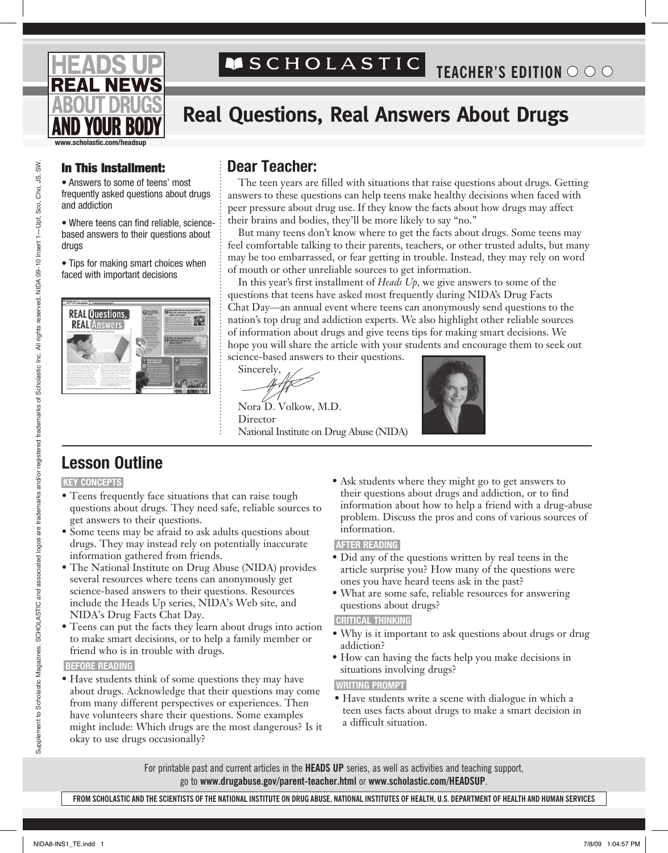# **MSCHOLASTIC**

# **Real Questions, Real Answers About Drugs**

**www.scholastic.com/headsup**

• Answers to some of teens' most frequently asked questions about drugs and addiction

• Where teens can find reliable, sciencebased answers to their questions about drugs

• Tips for making smart choices when faced with important decisions



## In This Installment: **Dear Teacher:**

The teen years are filled with situations that raise questions about drugs. Getting answers to these questions can help teens make healthy decisions when faced with peer pressure about drug use. If they know the facts about how drugs may affect their brains and bodies, they'll be more likely to say "no."

But many teens don't know where to get the facts about drugs. Some teens may feel comfortable talking to their parents, teachers, or other trusted adults, but many may be too embarrassed, or fear getting in trouble. Instead, they may rely on word of mouth or other unreliable sources to get information.

In this year's first installment of *Heads Up*, we give answers to some of the questions that teens have asked most frequently during NIDA's Drug Facts Chat Day—an annual event where teens can anonymously send questions to the nation's top drug and addiction experts. We also highlight other reliable sources of information about drugs and give teens tips for making smart decisions. We hope you will share the article with your students and encourage them to seek out science-based answers to their questions.

Sincerely,

Nora D. Volkow, M.D. **Director** National Institute on Drug Abuse (NIDA)



## **Lesson Outline**

### **KEY CONCEPTS**

- Teens frequently face situations that can raise tough questions about drugs. They need safe, reliable sources to get answers to their questions.
- Some teens may be afraid to ask adults questions about drugs. They may instead rely on potentially inaccurate information gathered from friends.
- The National Institute on Drug Abuse (NIDA) provides several resources where teens can anonymously get science-based answers to their questions. Resources include the Heads Up series, NIDA's Web site, and NIDA's Drug Facts Chat Day.
- Teens can put the facts they learn about drugs into action to make smart decisions, or to help a family member or friend who is in trouble with drugs.

#### **BEFORE READING**

• Have students think of some questions they may have about drugs. Acknowledge that their questions may come from many different perspectives or experiences. Then have volunteers share their questions. Some examples might include: Which drugs are the most dangerous? Is it okay to use drugs occasionally?

• Ask students where they might go to get answers to their questions about drugs and addiction, or to find information about how to help a friend with a drug-abuse problem. Discuss the pros and cons of various sources of information.

### **AFTER READING**

- Did any of the questions written by real teens in the article surprise you? How many of the questions were ones you have heard teens ask in the past?
- What are some safe, reliable resources for answering questions about drugs?

### **CRITICAL THINKING**

- Why is it important to ask questions about drugs or drug addiction?
- How can having the facts help you make decisions in situations involving drugs?

### **WRITING PROMPT**

• Have students write a scene with dialogue in which a teen uses facts about drugs to make a smart decision in a difficult situation.

For printable past and current articles in the **HEADS UP** series, as well as activities and teaching support, go to **www.drugabuse.gov/parent-teacher.html** or **www.scholastic.com/headsup**.

**From Scholastic and the Scientists of the National Institute on Drug Abuse, National Institutes of Health, U.S. Department of Health and Human Services**